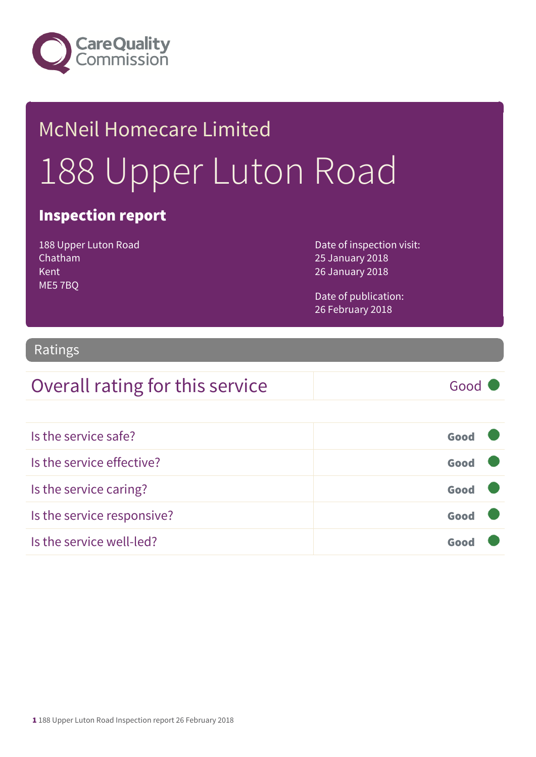

# McNeil Homecare Limited 188 Upper Luton Road

#### Inspection report

188 Upper Luton Road Chatham Kent ME5 7BQ

Date of inspection visit: 25 January 2018 26 January 2018

Date of publication: 26 February 2018

#### Ratings

#### Overall rating for this service Good

| Is the service safe?       | Good |  |
|----------------------------|------|--|
| Is the service effective?  | Good |  |
| Is the service caring?     | Good |  |
| Is the service responsive? | Good |  |
| Is the service well-led?   | Goor |  |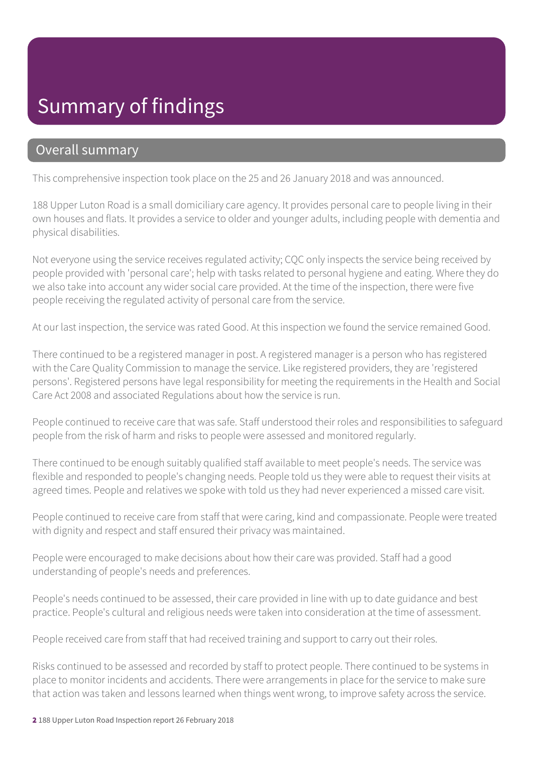#### Summary of findings

#### Overall summary

This comprehensive inspection took place on the 25 and 26 January 2018 and was announced.

188 Upper Luton Road is a small domiciliary care agency. It provides personal care to people living in their own houses and flats. It provides a service to older and younger adults, including people with dementia and physical disabilities.

Not everyone using the service receives regulated activity; CQC only inspects the service being received by people provided with 'personal care'; help with tasks related to personal hygiene and eating. Where they do we also take into account any wider social care provided. At the time of the inspection, there were five people receiving the regulated activity of personal care from the service.

At our last inspection, the service was rated Good. At this inspection we found the service remained Good.

There continued to be a registered manager in post. A registered manager is a person who has registered with the Care Quality Commission to manage the service. Like registered providers, they are 'registered persons'. Registered persons have legal responsibility for meeting the requirements in the Health and Social Care Act 2008 and associated Regulations about how the service is run.

People continued to receive care that was safe. Staff understood their roles and responsibilities to safeguard people from the risk of harm and risks to people were assessed and monitored regularly.

There continued to be enough suitably qualified staff available to meet people's needs. The service was flexible and responded to people's changing needs. People told us they were able to request their visits at agreed times. People and relatives we spoke with told us they had never experienced a missed care visit.

People continued to receive care from staff that were caring, kind and compassionate. People were treated with dignity and respect and staff ensured their privacy was maintained.

People were encouraged to make decisions about how their care was provided. Staff had a good understanding of people's needs and preferences.

People's needs continued to be assessed, their care provided in line with up to date guidance and best practice. People's cultural and religious needs were taken into consideration at the time of assessment.

People received care from staff that had received training and support to carry out their roles.

Risks continued to be assessed and recorded by staff to protect people. There continued to be systems in place to monitor incidents and accidents. There were arrangements in place for the service to make sure that action was taken and lessons learned when things went wrong, to improve safety across the service.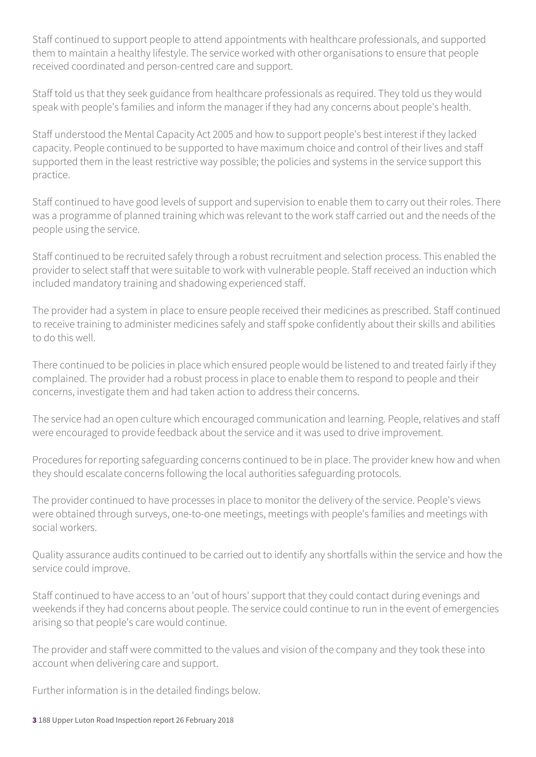Staff continued to support people to attend appointments with healthcare professionals, and supported them to maintain a healthy lifestyle. The service worked with other organisations to ensure that people received coordinated and person-centred care and support.

Staff told us that they seek guidance from healthcare professionals as required. They told us they would speak with people's families and inform the manager if they had any concerns about people's health.

Staff understood the Mental Capacity Act 2005 and how to support people's best interest if they lacked capacity. People continued to be supported to have maximum choice and control of their lives and staff supported them in the least restrictive way possible; the policies and systems in the service support this practice.

Staff continued to have good levels of support and supervision to enable them to carry out their roles. There was a programme of planned training which was relevant to the work staff carried out and the needs of the people using the service.

Staff continued to be recruited safely through a robust recruitment and selection process. This enabled the provider to select staff that were suitable to work with vulnerable people. Staff received an induction which included mandatory training and shadowing experienced staff.

The provider had a system in place to ensure people received their medicines as prescribed. Staff continued to receive training to administer medicines safely and staff spoke confidently about their skills and abilities to do this well.

There continued to be policies in place which ensured people would be listened to and treated fairly if they complained. The provider had a robust process in place to enable them to respond to people and their concerns, investigate them and had taken action to address their concerns.

The service had an open culture which encouraged communication and learning. People, relatives and staff were encouraged to provide feedback about the service and it was used to drive improvement.

Procedures for reporting safeguarding concerns continued to be in place. The provider knew how and when they should escalate concerns following the local authorities safeguarding protocols.

The provider continued to have processes in place to monitor the delivery of the service. People's views were obtained through surveys, one-to-one meetings, meetings with people's families and meetings with social workers.

Quality assurance audits continued to be carried out to identify any shortfalls within the service and how the service could improve.

Staff continued to have access to an 'out of hours' support that they could contact during evenings and weekends if they had concerns about people. The service could continue to run in the event of emergencies arising so that people's care would continue.

The provider and staff were committed to the values and vision of the company and they took these into account when delivering care and support.

Further information is in the detailed findings below.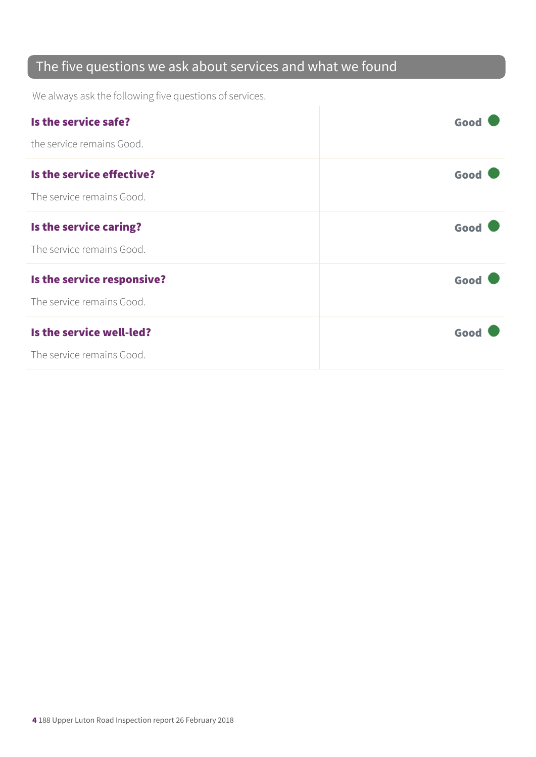#### The five questions we ask about services and what we found

We always ask the following five questions of services.

| Is the service safe?       | Good |
|----------------------------|------|
| the service remains Good.  |      |
| Is the service effective?  | Good |
| The service remains Good.  |      |
| Is the service caring?     | Good |
| The service remains Good.  |      |
| Is the service responsive? | Good |
| The service remains Good.  |      |
| Is the service well-led?   | Good |
| The service remains Good.  |      |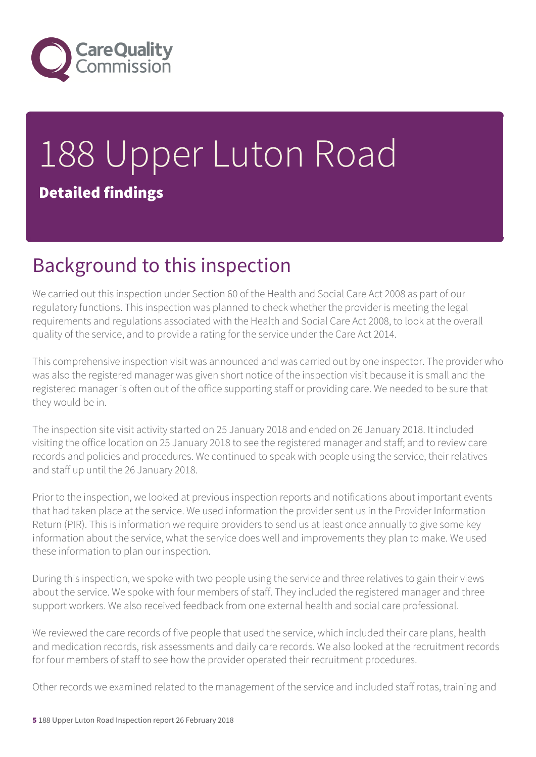

# 188 Upper Luton Road Detailed findings

## Background to this inspection

We carried out this inspection under Section 60 of the Health and Social Care Act 2008 as part of our regulatory functions. This inspection was planned to check whether the provider is meeting the legal requirements and regulations associated with the Health and Social Care Act 2008, to look at the overall quality of the service, and to provide a rating for the service under the Care Act 2014.

This comprehensive inspection visit was announced and was carried out by one inspector. The provider who was also the registered manager was given short notice of the inspection visit because it is small and the registered manager is often out of the office supporting staff or providing care. We needed to be sure that they would be in.

The inspection site visit activity started on 25 January 2018 and ended on 26 January 2018. It included visiting the office location on 25 January 2018 to see the registered manager and staff; and to review care records and policies and procedures. We continued to speak with people using the service, their relatives and staff up until the 26 January 2018.

Prior to the inspection, we looked at previous inspection reports and notifications about important events that had taken place at the service. We used information the provider sent us in the Provider Information Return (PIR). This is information we require providers to send us at least once annually to give some key information about the service, what the service does well and improvements they plan to make. We used these information to plan our inspection.

During this inspection, we spoke with two people using the service and three relatives to gain their views about the service. We spoke with four members of staff. They included the registered manager and three support workers. We also received feedback from one external health and social care professional.

We reviewed the care records of five people that used the service, which included their care plans, health and medication records, risk assessments and daily care records. We also looked at the recruitment records for four members of staff to see how the provider operated their recruitment procedures.

Other records we examined related to the management of the service and included staff rotas, training and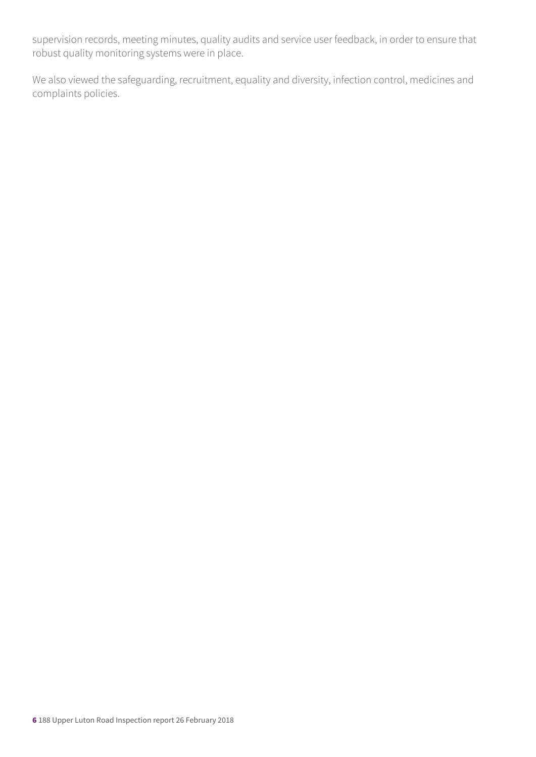supervision records, meeting minutes, quality audits and service user feedback, in order to ensure that robust quality monitoring systems were in place.

We also viewed the safeguarding, recruitment, equality and diversity, infection control, medicines and complaints policies.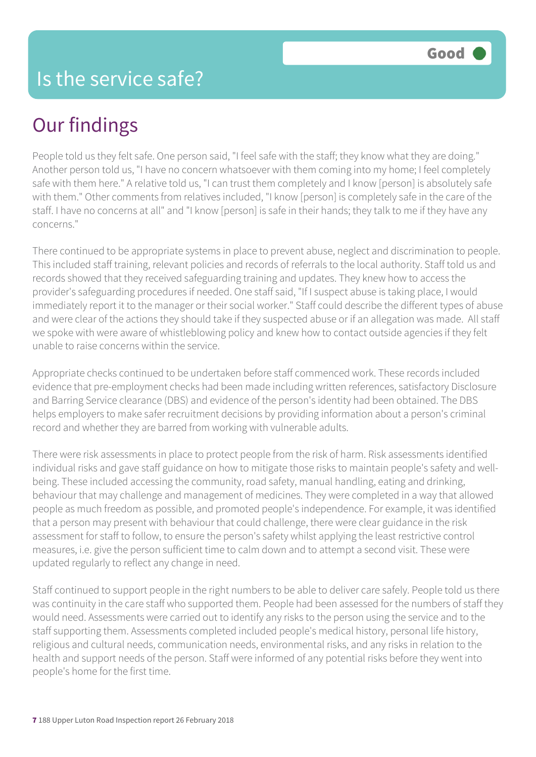### Our findings

People told us they felt safe. One person said, "I feel safe with the staff; they know what they are doing." Another person told us, "I have no concern whatsoever with them coming into my home; I feel completely safe with them here." A relative told us, "I can trust them completely and I know [person] is absolutely safe with them." Other comments from relatives included, "I know [person] is completely safe in the care of the staff. I have no concerns at all" and "I know [person] is safe in their hands; they talk to me if they have any concerns."

There continued to be appropriate systems in place to prevent abuse, neglect and discrimination to people. This included staff training, relevant policies and records of referrals to the local authority. Staff told us and records showed that they received safeguarding training and updates. They knew how to access the provider's safeguarding procedures if needed. One staff said, "If I suspect abuse is taking place, I would immediately report it to the manager or their social worker." Staff could describe the different types of abuse and were clear of the actions they should take if they suspected abuse or if an allegation was made. All staff we spoke with were aware of whistleblowing policy and knew how to contact outside agencies if they felt unable to raise concerns within the service.

Appropriate checks continued to be undertaken before staff commenced work. These records included evidence that pre-employment checks had been made including written references, satisfactory Disclosure and Barring Service clearance (DBS) and evidence of the person's identity had been obtained. The DBS helps employers to make safer recruitment decisions by providing information about a person's criminal record and whether they are barred from working with vulnerable adults.

There were risk assessments in place to protect people from the risk of harm. Risk assessments identified individual risks and gave staff guidance on how to mitigate those risks to maintain people's safety and wellbeing. These included accessing the community, road safety, manual handling, eating and drinking, behaviour that may challenge and management of medicines. They were completed in a way that allowed people as much freedom as possible, and promoted people's independence. For example, it was identified that a person may present with behaviour that could challenge, there were clear guidance in the risk assessment for staff to follow, to ensure the person's safety whilst applying the least restrictive control measures, i.e. give the person sufficient time to calm down and to attempt a second visit. These were updated regularly to reflect any change in need.

Staff continued to support people in the right numbers to be able to deliver care safely. People told us there was continuity in the care staff who supported them. People had been assessed for the numbers of staff they would need. Assessments were carried out to identify any risks to the person using the service and to the staff supporting them. Assessments completed included people's medical history, personal life history, religious and cultural needs, communication needs, environmental risks, and any risks in relation to the health and support needs of the person. Staff were informed of any potential risks before they went into people's home for the first time.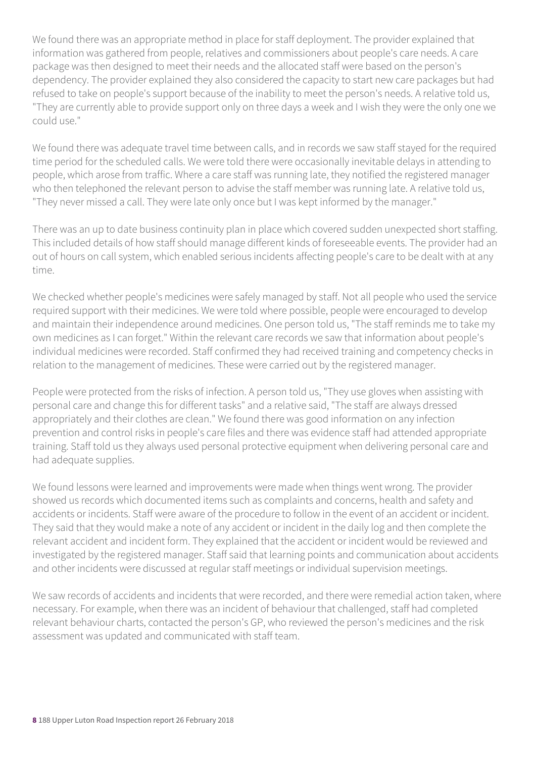We found there was an appropriate method in place for staff deployment. The provider explained that information was gathered from people, relatives and commissioners about people's care needs. A care package was then designed to meet their needs and the allocated staff were based on the person's dependency. The provider explained they also considered the capacity to start new care packages but had refused to take on people's support because of the inability to meet the person's needs. A relative told us, "They are currently able to provide support only on three days a week and I wish they were the only one we could use."

We found there was adequate travel time between calls, and in records we saw staff stayed for the required time period for the scheduled calls. We were told there were occasionally inevitable delays in attending to people, which arose from traffic. Where a care staff was running late, they notified the registered manager who then telephoned the relevant person to advise the staff member was running late. A relative told us, "They never missed a call. They were late only once but I was kept informed by the manager."

There was an up to date business continuity plan in place which covered sudden unexpected short staffing. This included details of how staff should manage different kinds of foreseeable events. The provider had an out of hours on call system, which enabled serious incidents affecting people's care to be dealt with at any time.

We checked whether people's medicines were safely managed by staff. Not all people who used the service required support with their medicines. We were told where possible, people were encouraged to develop and maintain their independence around medicines. One person told us, "The staff reminds me to take my own medicines as I can forget." Within the relevant care records we saw that information about people's individual medicines were recorded. Staff confirmed they had received training and competency checks in relation to the management of medicines. These were carried out by the registered manager.

People were protected from the risks of infection. A person told us, "They use gloves when assisting with personal care and change this for different tasks" and a relative said, "The staff are always dressed appropriately and their clothes are clean." We found there was good information on any infection prevention and control risks in people's care files and there was evidence staff had attended appropriate training. Staff told us they always used personal protective equipment when delivering personal care and had adequate supplies.

We found lessons were learned and improvements were made when things went wrong. The provider showed us records which documented items such as complaints and concerns, health and safety and accidents or incidents. Staff were aware of the procedure to follow in the event of an accident or incident. They said that they would make a note of any accident or incident in the daily log and then complete the relevant accident and incident form. They explained that the accident or incident would be reviewed and investigated by the registered manager. Staff said that learning points and communication about accidents and other incidents were discussed at regular staff meetings or individual supervision meetings.

We saw records of accidents and incidents that were recorded, and there were remedial action taken, where necessary. For example, when there was an incident of behaviour that challenged, staff had completed relevant behaviour charts, contacted the person's GP, who reviewed the person's medicines and the risk assessment was updated and communicated with staff team.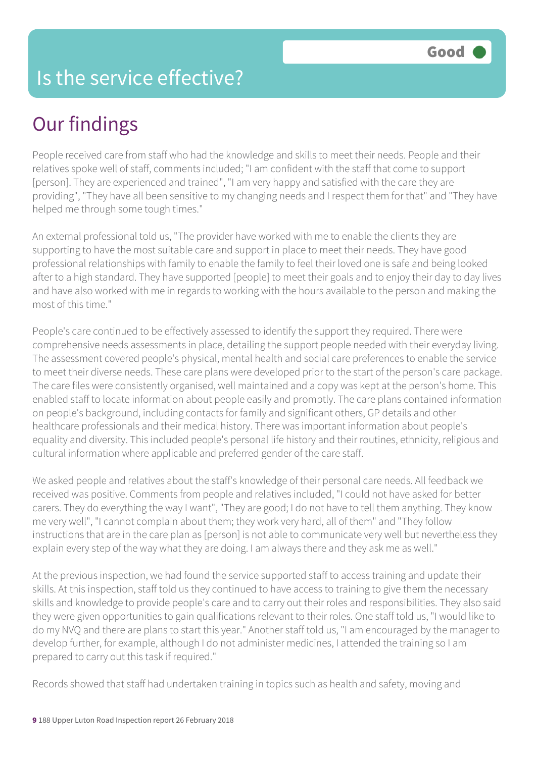#### Is the service effective?

### Our findings

People received care from staff who had the knowledge and skills to meet their needs. People and their relatives spoke well of staff, comments included; "I am confident with the staff that come to support [person]. They are experienced and trained", "I am very happy and satisfied with the care they are providing", "They have all been sensitive to my changing needs and I respect them for that" and "They have helped me through some tough times."

An external professional told us, "The provider have worked with me to enable the clients they are supporting to have the most suitable care and support in place to meet their needs. They have good professional relationships with family to enable the family to feel their loved one is safe and being looked after to a high standard. They have supported [people] to meet their goals and to enjoy their day to day lives and have also worked with me in regards to working with the hours available to the person and making the most of this time."

People's care continued to be effectively assessed to identify the support they required. There were comprehensive needs assessments in place, detailing the support people needed with their everyday living. The assessment covered people's physical, mental health and social care preferences to enable the service to meet their diverse needs. These care plans were developed prior to the start of the person's care package. The care files were consistently organised, well maintained and a copy was kept at the person's home. This enabled staff to locate information about people easily and promptly. The care plans contained information on people's background, including contacts for family and significant others, GP details and other healthcare professionals and their medical history. There was important information about people's equality and diversity. This included people's personal life history and their routines, ethnicity, religious and cultural information where applicable and preferred gender of the care staff.

We asked people and relatives about the staff's knowledge of their personal care needs. All feedback we received was positive. Comments from people and relatives included, "I could not have asked for better carers. They do everything the way I want", "They are good; I do not have to tell them anything. They know me very well", "I cannot complain about them; they work very hard, all of them" and "They follow instructions that are in the care plan as [person] is not able to communicate very well but nevertheless they explain every step of the way what they are doing. I am always there and they ask me as well."

At the previous inspection, we had found the service supported staff to access training and update their skills. At this inspection, staff told us they continued to have access to training to give them the necessary skills and knowledge to provide people's care and to carry out their roles and responsibilities. They also said they were given opportunities to gain qualifications relevant to their roles. One staff told us, "I would like to do my NVQ and there are plans to start this year." Another staff told us, "I am encouraged by the manager to develop further, for example, although I do not administer medicines, I attended the training so I am prepared to carry out this task if required."

Records showed that staff had undertaken training in topics such as health and safety, moving and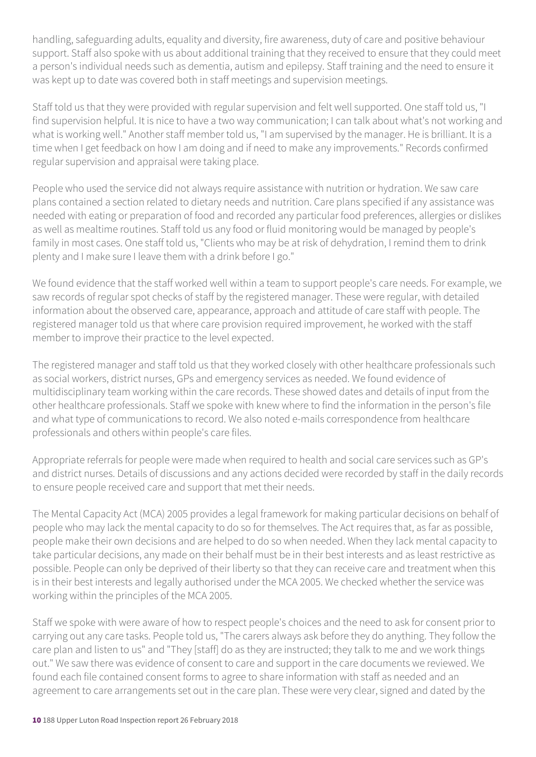handling, safeguarding adults, equality and diversity, fire awareness, duty of care and positive behaviour support. Staff also spoke with us about additional training that they received to ensure that they could meet a person's individual needs such as dementia, autism and epilepsy. Staff training and the need to ensure it was kept up to date was covered both in staff meetings and supervision meetings.

Staff told us that they were provided with regular supervision and felt well supported. One staff told us, "I find supervision helpful. It is nice to have a two way communication; I can talk about what's not working and what is working well." Another staff member told us, "I am supervised by the manager. He is brilliant. It is a time when I get feedback on how I am doing and if need to make any improvements." Records confirmed regular supervision and appraisal were taking place.

People who used the service did not always require assistance with nutrition or hydration. We saw care plans contained a section related to dietary needs and nutrition. Care plans specified if any assistance was needed with eating or preparation of food and recorded any particular food preferences, allergies or dislikes as well as mealtime routines. Staff told us any food or fluid monitoring would be managed by people's family in most cases. One staff told us, "Clients who may be at risk of dehydration, I remind them to drink plenty and I make sure I leave them with a drink before I go."

We found evidence that the staff worked well within a team to support people's care needs. For example, we saw records of regular spot checks of staff by the registered manager. These were regular, with detailed information about the observed care, appearance, approach and attitude of care staff with people. The registered manager told us that where care provision required improvement, he worked with the staff member to improve their practice to the level expected.

The registered manager and staff told us that they worked closely with other healthcare professionals such as social workers, district nurses, GPs and emergency services as needed. We found evidence of multidisciplinary team working within the care records. These showed dates and details of input from the other healthcare professionals. Staff we spoke with knew where to find the information in the person's file and what type of communications to record. We also noted e-mails correspondence from healthcare professionals and others within people's care files.

Appropriate referrals for people were made when required to health and social care services such as GP's and district nurses. Details of discussions and any actions decided were recorded by staff in the daily records to ensure people received care and support that met their needs.

The Mental Capacity Act (MCA) 2005 provides a legal framework for making particular decisions on behalf of people who may lack the mental capacity to do so for themselves. The Act requires that, as far as possible, people make their own decisions and are helped to do so when needed. When they lack mental capacity to take particular decisions, any made on their behalf must be in their best interests and as least restrictive as possible. People can only be deprived of their liberty so that they can receive care and treatment when this is in their best interests and legally authorised under the MCA 2005. We checked whether the service was working within the principles of the MCA 2005.

Staff we spoke with were aware of how to respect people's choices and the need to ask for consent prior to carrying out any care tasks. People told us, "The carers always ask before they do anything. They follow the care plan and listen to us" and "They [staff] do as they are instructed; they talk to me and we work things out." We saw there was evidence of consent to care and support in the care documents we reviewed. We found each file contained consent forms to agree to share information with staff as needed and an agreement to care arrangements set out in the care plan. These were very clear, signed and dated by the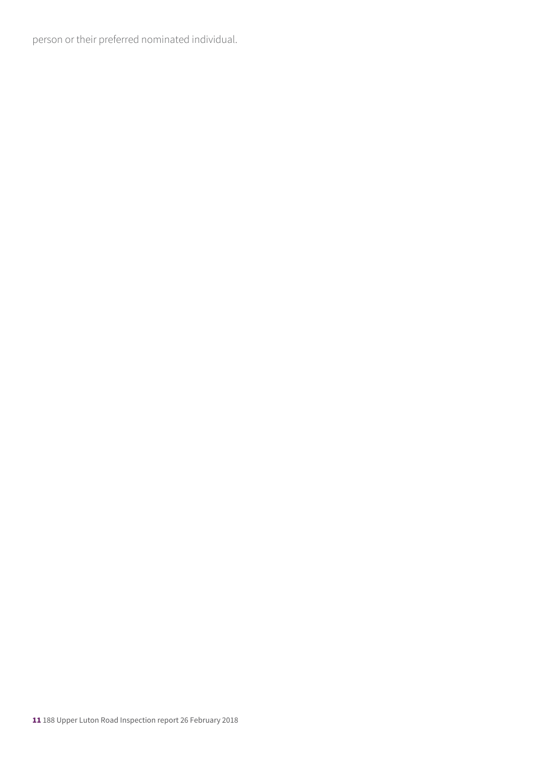person or their preferred nominated individual.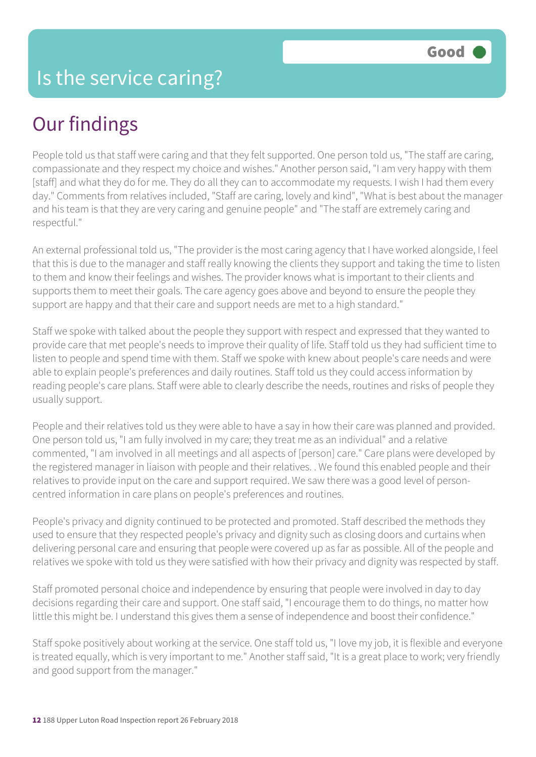## Our findings

People told us that staff were caring and that they felt supported. One person told us, "The staff are caring, compassionate and they respect my choice and wishes." Another person said, "I am very happy with them [staff] and what they do for me. They do all they can to accommodate my requests. I wish I had them every day." Comments from relatives included, "Staff are caring, lovely and kind", "What is best about the manager and his team is that they are very caring and genuine people" and "The staff are extremely caring and respectful."

An external professional told us, "The provider is the most caring agency that I have worked alongside, I feel that this is due to the manager and staff really knowing the clients they support and taking the time to listen to them and know their feelings and wishes. The provider knows what is important to their clients and supports them to meet their goals. The care agency goes above and beyond to ensure the people they support are happy and that their care and support needs are met to a high standard."

Staff we spoke with talked about the people they support with respect and expressed that they wanted to provide care that met people's needs to improve their quality of life. Staff told us they had sufficient time to listen to people and spend time with them. Staff we spoke with knew about people's care needs and were able to explain people's preferences and daily routines. Staff told us they could access information by reading people's care plans. Staff were able to clearly describe the needs, routines and risks of people they usually support.

People and their relatives told us they were able to have a say in how their care was planned and provided. One person told us, "I am fully involved in my care; they treat me as an individual" and a relative commented, "I am involved in all meetings and all aspects of [person] care." Care plans were developed by the registered manager in liaison with people and their relatives. . We found this enabled people and their relatives to provide input on the care and support required. We saw there was a good level of personcentred information in care plans on people's preferences and routines.

People's privacy and dignity continued to be protected and promoted. Staff described the methods they used to ensure that they respected people's privacy and dignity such as closing doors and curtains when delivering personal care and ensuring that people were covered up as far as possible. All of the people and relatives we spoke with told us they were satisfied with how their privacy and dignity was respected by staff.

Staff promoted personal choice and independence by ensuring that people were involved in day to day decisions regarding their care and support. One staff said, "I encourage them to do things, no matter how little this might be. I understand this gives them a sense of independence and boost their confidence."

Staff spoke positively about working at the service. One staff told us, "I love my job, it is flexible and everyone is treated equally, which is very important to me." Another staff said, "It is a great place to work; very friendly and good support from the manager."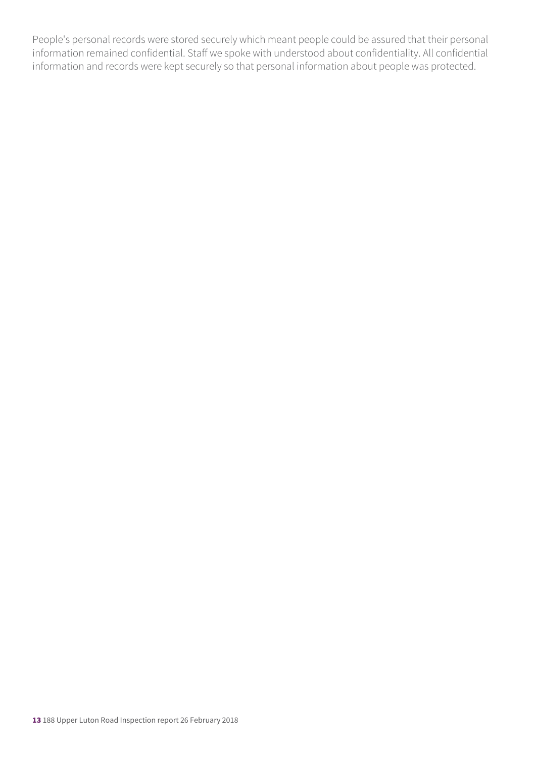People's personal records were stored securely which meant people could be assured that their personal information remained confidential. Staff we spoke with understood about confidentiality. All confidential information and records were kept securely so that personal information about people was protected.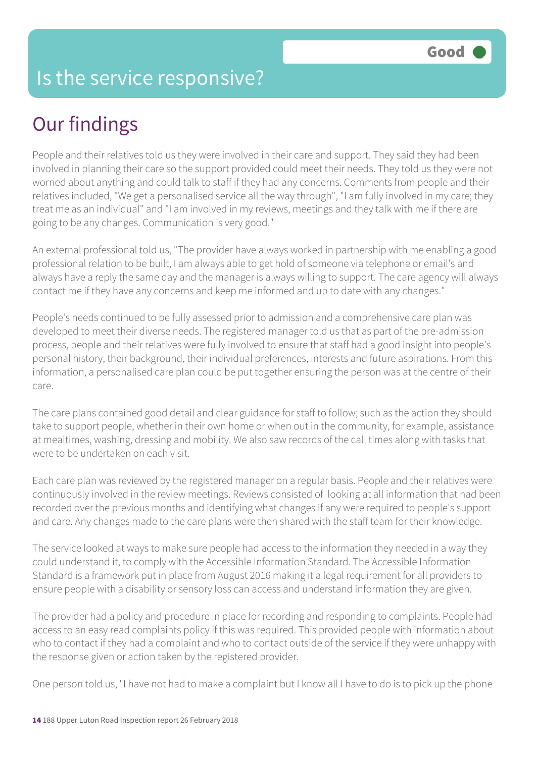#### Is the service responsive?

## Our findings

People and their relatives told us they were involved in their care and support. They said they had been involved in planning their care so the support provided could meet their needs. They told us they were not worried about anything and could talk to staff if they had any concerns. Comments from people and their relatives included, "We get a personalised service all the way through", "I am fully involved in my care; they treat me as an individual" and "I am involved in my reviews, meetings and they talk with me if there are going to be any changes. Communication is very good."

An external professional told us, "The provider have always worked in partnership with me enabling a good professional relation to be built, I am always able to get hold of someone via telephone or email's and always have a reply the same day and the manager is always willing to support. The care agency will always contact me if they have any concerns and keep me informed and up to date with any changes."

People's needs continued to be fully assessed prior to admission and a comprehensive care plan was developed to meet their diverse needs. The registered manager told us that as part of the pre-admission process, people and their relatives were fully involved to ensure that staff had a good insight into people's personal history, their background, their individual preferences, interests and future aspirations. From this information, a personalised care plan could be put together ensuring the person was at the centre of their care.

The care plans contained good detail and clear guidance for staff to follow; such as the action they should take to support people, whether in their own home or when out in the community, for example, assistance at mealtimes, washing, dressing and mobility. We also saw records of the call times along with tasks that were to be undertaken on each visit.

Each care plan was reviewed by the registered manager on a regular basis. People and their relatives were continuously involved in the review meetings. Reviews consisted of looking at all information that had been recorded over the previous months and identifying what changes if any were required to people's support and care. Any changes made to the care plans were then shared with the staff team for their knowledge.

The service looked at ways to make sure people had access to the information they needed in a way they could understand it, to comply with the Accessible Information Standard. The Accessible Information Standard is a framework put in place from August 2016 making it a legal requirement for all providers to ensure people with a disability or sensory loss can access and understand information they are given.

The provider had a policy and procedure in place for recording and responding to complaints. People had access to an easy read complaints policy if this was required. This provided people with information about who to contact if they had a complaint and who to contact outside of the service if they were unhappy with the response given or action taken by the registered provider.

One person told us, "I have not had to make a complaint but I know all I have to do is to pick up the phone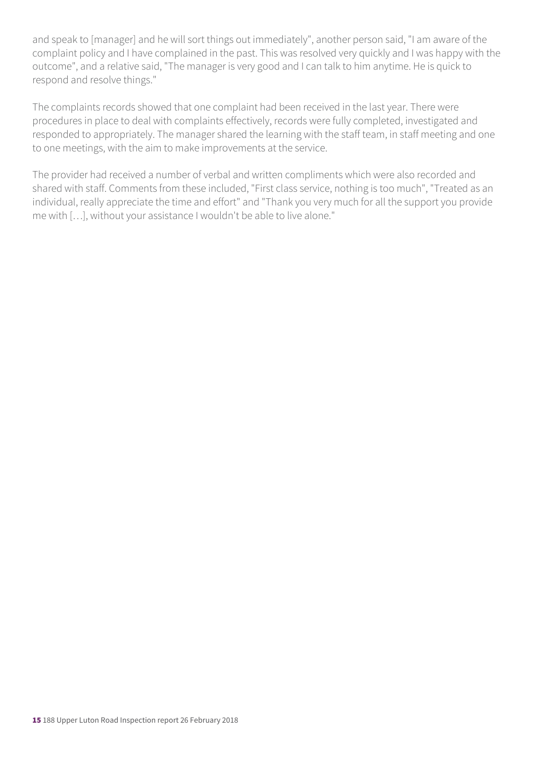and speak to [manager] and he will sort things out immediately", another person said, "I am aware of the complaint policy and I have complained in the past. This was resolved very quickly and I was happy with the outcome", and a relative said, "The manager is very good and I can talk to him anytime. He is quick to respond and resolve things."

The complaints records showed that one complaint had been received in the last year. There were procedures in place to deal with complaints effectively, records were fully completed, investigated and responded to appropriately. The manager shared the learning with the staff team, in staff meeting and one to one meetings, with the aim to make improvements at the service.

The provider had received a number of verbal and written compliments which were also recorded and shared with staff. Comments from these included, "First class service, nothing is too much", "Treated as an individual, really appreciate the time and effort" and "Thank you very much for all the support you provide me with […], without your assistance I wouldn't be able to live alone."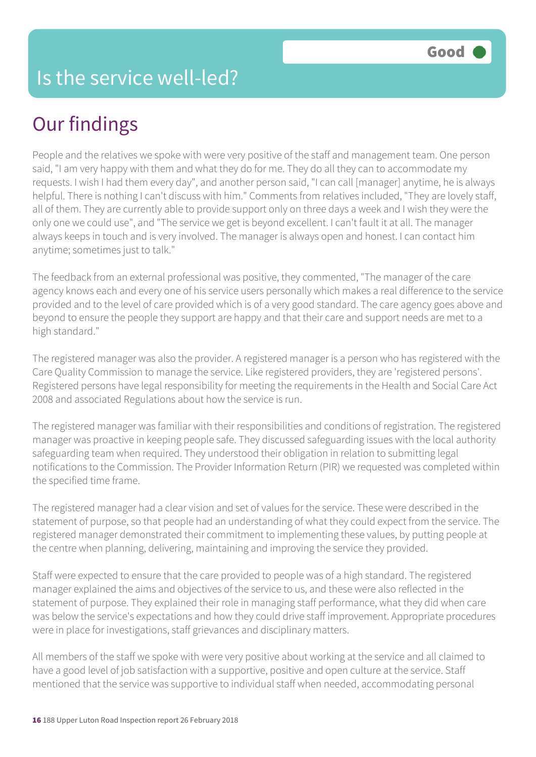## Our findings

People and the relatives we spoke with were very positive of the staff and management team. One person said, "I am very happy with them and what they do for me. They do all they can to accommodate my requests. I wish I had them every day", and another person said, "I can call [manager] anytime, he is always helpful. There is nothing I can't discuss with him." Comments from relatives included, "They are lovely staff, all of them. They are currently able to provide support only on three days a week and I wish they were the only one we could use", and "The service we get is beyond excellent. I can't fault it at all. The manager always keeps in touch and is very involved. The manager is always open and honest. I can contact him anytime; sometimes just to talk."

The feedback from an external professional was positive, they commented, "The manager of the care agency knows each and every one of his service users personally which makes a real difference to the service provided and to the level of care provided which is of a very good standard. The care agency goes above and beyond to ensure the people they support are happy and that their care and support needs are met to a high standard."

The registered manager was also the provider. A registered manager is a person who has registered with the Care Quality Commission to manage the service. Like registered providers, they are 'registered persons'. Registered persons have legal responsibility for meeting the requirements in the Health and Social Care Act 2008 and associated Regulations about how the service is run.

The registered manager was familiar with their responsibilities and conditions of registration. The registered manager was proactive in keeping people safe. They discussed safeguarding issues with the local authority safeguarding team when required. They understood their obligation in relation to submitting legal notifications to the Commission. The Provider Information Return (PIR) we requested was completed within the specified time frame.

The registered manager had a clear vision and set of values for the service. These were described in the statement of purpose, so that people had an understanding of what they could expect from the service. The registered manager demonstrated their commitment to implementing these values, by putting people at the centre when planning, delivering, maintaining and improving the service they provided.

Staff were expected to ensure that the care provided to people was of a high standard. The registered manager explained the aims and objectives of the service to us, and these were also reflected in the statement of purpose. They explained their role in managing staff performance, what they did when care was below the service's expectations and how they could drive staff improvement. Appropriate procedures were in place for investigations, staff grievances and disciplinary matters.

All members of the staff we spoke with were very positive about working at the service and all claimed to have a good level of job satisfaction with a supportive, positive and open culture at the service. Staff mentioned that the service was supportive to individual staff when needed, accommodating personal